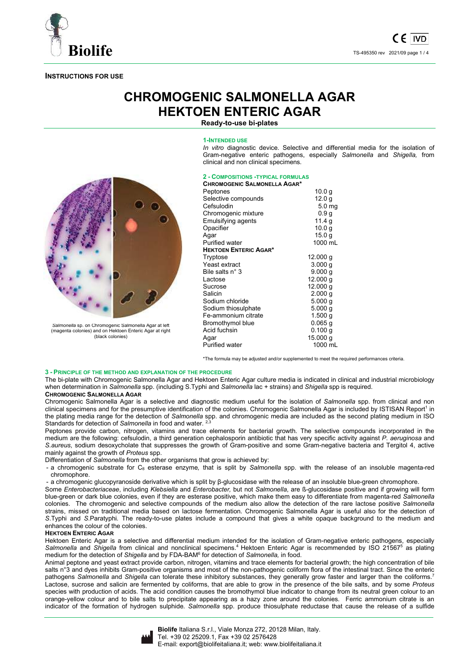

# **INSTRUCTIONS FOR USE**

# **CHROMOGENIC SALMONELLA AGAR HEKTOEN ENTERIC AGAR**

**Ready-to-use bi-plates** 

#### **1-INTENDED USE**

*In vitro* diagnostic device. Selective and differential media for the isolation of Gram-negative enteric pathogens, especially *Salmonella* and *Shigella,* from clinical and non clinical specimens.



*Salmonella* sp. on Chromogenic Salmonella Agar at left (magenta colonies) and on Hektoen Enteric Agar at right (black colonies)

| CHROMOGENIC SALMONELLA AGAR* | <b>2 - COMPOSITIONS - TYPICAL FORMULAS</b> |  |
|------------------------------|--------------------------------------------|--|
|                              |                                            |  |

| Peptones                     | 10.0 <sub>q</sub>  |
|------------------------------|--------------------|
| Selective compounds          | 12.0 <sub>g</sub>  |
| Cefsulodin                   | 5.0 <sub>mg</sub>  |
| Chromogenic mixture          | 0.9 <sub>g</sub>   |
| Emulsifying agents           | 11.4 g             |
| Opacifier                    | 10.0 g             |
| Aqar                         | 15.0 g             |
| <b>Purified water</b>        | 1000 mL            |
| <b>HEKTOEN ENTERIC AGAR*</b> |                    |
| Tryptose                     | 12.000 g           |
| Yeast extract                | 3.000 <sub>a</sub> |
| Bile salts n° 3              | 9.000 g            |
| Lactose                      | 12.000 g           |
| Sucrose                      | 12.000 g           |
| Salicin                      | 2.000 g            |
| Sodium chloride              | 5.000q             |
| Sodium thiosulphate          | 5.000q             |
| Fe-ammonium citrate          | 1.500q             |
| Bromothymol blue             | $0.065$ a          |
| Acid fuchsin                 | 0.100 g            |
| Agar                         | 15.000 g           |
| <b>Purified water</b>        | 1000 mL            |
|                              |                    |

\*The formula may be adjusted and/or supplemented to meet the required performances criteria.

#### **3 - PRINCIPLE OF THE METHOD AND EXPLANATION OF THE PROCEDURE**

The bi-plate with Chromogenic Salmonella Agar and Hektoen Enteric Agar culture media is indicated in clinical and industrial microbiology when determination in *Salmonella* spp. (including S.Typhi and *Salmonella* lac + strains) and *Shigella* spp is required.

# **CHROMOGENIC SALMONELLA AGAR**

Chromogenic Salmonella Agar is a selective and diagnostic medium useful for the isolation of *Salmonella* spp. from clinical and non clinical specimens and for the presumptive identification of the colonies. Chromogenic Salmonella Agar is included by ISTISAN Report<sup>1</sup> in the plating media range for the detection of *Salmonella* spp. and chromogenic media are included as the second plating medium in ISO Standards for detection of *Salmonella* in food and water. 2,3

Peptones provide carbon, nitrogen, vitamins and trace elements for bacterial growth. The selective compounds incorporated in the medium are the following: cefsulodin, a third generation cephalosporin antibiotic that has very specific activity against *P. aeruginosa* and *S.aureus*, sodium desoxycholate that suppresses the growth of Gram-positive and some Gram-negative bacteria and Tergitol 4, active mainly against the growth of *Proteus* spp.

Differentiation of *Salmonella* from the other organisms that grow is achieved by:

- a chromogenic substrate for C8 esterase enzyme*,* that is split by *Salmonella* spp. with the release of an insoluble magenta-red chromophore.

- a chromogenic glucopyranoside derivative which is split by β-glucosidase with the release of an insoluble blue-green chromophore.

Some *Enterobacteriaceae*, including *Klebsiella* and *Enterobacter,* but not *Salmonella*, are ß-glucosidase positive and if growing will form blue-green or dark blue colonies, even if they are esterase positive, which make them easy to differentiate from magenta-red *Salmonella* colonies. The chromogenic and selective compounds of the medium also allow the detection of the rare lactose positive *Salmonella*  strains, missed on traditional media based on lactose fermentation. Chromogenic Salmonella Agar is useful also for the detection of *S*.Typhi and *S*.Paratyphi. The ready-to-use plates include a compound that gives a white opaque background to the medium and enhances the colour of the colonies.

## **HEKTOEN ENTERIC AGAR**

Hektoen Enteric Agar is a selective and differential medium intended for the isolation of Gram-negative enteric pathogens, especially Salmonella and Shigella from clinical and nonclinical specimens.<sup>4</sup> Hektoen Enteric Agar is recommended by ISO 21567<sup>5</sup> as plating medium for the detection of *Shigella* and by FDA-BAM<sup>6</sup> for detection of *Salmonella,* in food.

Animal peptone and yeast extract provide carbon, nitrogen, vitamins and trace elements for bacterial growth; the high concentration of bile salts n°3 and dyes inhibits Gram-positive organisms and most of the non-pathogenic coliform flora of the intestinal tract. Since the enteric pathogens *Salmonella* and *Shigella* can tolerate these inhibitory substances, they generally grow faster and larger than the coliforms.<sup>7</sup> Lactose, sucrose and salicin are fermented by coliforms, that are able to grow in the presence of the bile salts, and by some *Proteus* species with production of acids. The acid condition causes the bromothymol blue indicator to change from its neutral green colour to an orange-yellow colour and to bile salts to precipitate appearing as a hazy zone around the colonies. Ferric ammonium citrate is an indicator of the formation of hydrogen sulphide. *Salmonella* spp. produce thiosulphate reductase that cause the release of a sulfide

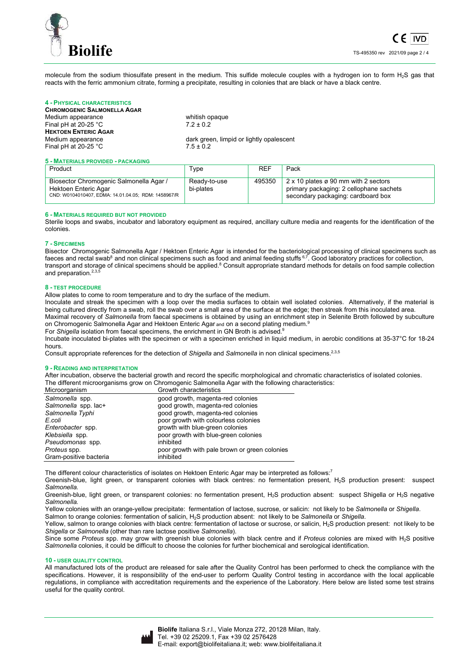

molecule from the sodium thiosulfate present in the medium. This sulfide molecule couples with a hydrogen ion to form H2S gas that reacts with the ferric ammonium citrate, forming a precipitate, resulting in colonies that are black or have a black centre.

# **4 - PHYSICAL CHARACTERISTICS**

**CHROMOGENIC SALMONELLA AGAR** Medium appearance whitish opaque Final pH at 20-25 °C 7.2 ± 0.2 **HEKTOEN ENTERIC AGAR**<br>Medium appearance Final pH at 20-25  $\degree$ C 7.5  $\pm$  0.2

dark green, limpid or lightly opalescent

#### **5 - MATERIALS PROVIDED - PACKAGING**

| Product                                                                                                                | Type                      | <b>REF</b> | Pack                                                                                                                  |
|------------------------------------------------------------------------------------------------------------------------|---------------------------|------------|-----------------------------------------------------------------------------------------------------------------------|
| Biosector Chromogenic Salmonella Agar /<br>Hektoen Enteric Agar<br>CND: W0104010407, EDMA: 14.01.04.05; RDM: 1458967/R | Ready-to-use<br>bi-plates | 495350     | 2 x 10 plates ø 90 mm with 2 sectors<br>primary packaging: 2 cellophane sachets<br>secondary packaging: cardboard box |

#### **6 - MATERIALS REQUIRED BUT NOT PROVIDED**

Sterile loops and swabs, incubator and laboratory equipment as required, ancillary culture media and reagents for the identification of the colonies.

#### **7 - SPECIMENS**

Bisector Chromogenic Salmonella Agar / Hektoen Enteric Agar is intended for the bacteriological processing of clinical specimens such as faeces and rectal swab<sup>8</sup> and non clinical specimens such as food and animal feeding stuffs  $6.7$ . Good laboratory practices for collection, transport and storage of clinical specimens should be applied.<sup>8</sup> Consult appropriate standard methods for details on food sample collection and preparation.<sup>2,3,</sup>

#### **8 - TEST PROCEDURE**

Allow plates to come to room temperature and to dry the surface of the medium.

Inoculate and streak the specimen with a loop over the media surfaces to obtain well isolated colonies. Alternatively, if the material is being cultured directly from a swab, roll the swab over a small area of the surface at the edge; then streak from this inoculated area. Maximal recovery of *Salmonella* from faecal specimens is obtained by using an enrichment step in Selenite Broth followed by subculture on Chromogenic Salmonella Agar and Hektoen Enteric Agar and on a second plating medium.<sup>9</sup>

For *Shigella* isolation from faecal specimens, the enrichment in GN Broth is advised.<sup>9</sup> Incubate inoculated bi-plates with the specimen or with a specimen enriched in liquid medium, in aerobic conditions at 35-37°C for 18-24 hours.

Consult appropriate references for the detection of *Shigella* and *Salmonella* in non clinical specimens.2,3,5

#### **9 - READING AND INTERPRETATION**

After incubation, observe the bacterial growth and record the specific morphological and chromatic characteristics of isolated colonies. The different microorganisms grow on Chromogenic Salmonella Agar with the following characteristics:<br>Microorganism Growth characteristics

| olowul oligiacich sucs                        |
|-----------------------------------------------|
| good growth, magenta-red colonies             |
| good growth, magenta-red colonies             |
| good growth, magenta-red colonies             |
| poor growth with colourless colonies          |
| growth with blue-green colonies               |
| poor growth with blue-green colonies          |
|                                               |
| poor growth with pale brown or green colonies |
|                                               |
|                                               |

The different colour characteristics of isolates on Hektoen Enteric Agar may be interpreted as follows:<sup>7</sup>

Greenish-blue, light green, or transparent colonies with black centres: no fermentation present, H2S production present: suspect *Salmonella*.

Greenish-blue, light green, or transparent colonies: no fermentation present, H2S production absent: suspect Shigella or H2S negative *Salmonella.*

Yellow colonies with an orange-yellow precipitate: fermentation of lactose, sucrose, or salicin: not likely to be *Salmonella* or *Shigella*.

Salmon to orange colonies: fermentation of salicin, H2S production absent: not likely to be *Salmonella* or *Shigella*.

Yellow, salmon to orange colonies with black centre: fermentation of lactose or sucrose, or salicin, H<sub>2</sub>S production present: not likely to be *Shigella* or *Salmonella* (other than rare lactose positive *Salmonella*).

Since some *Proteus* spp. may grow with greenish blue colonies with black centre and if *Proteus* colonies are mixed with H2S positive *Salmonella* colonies, it could be difficult to choose the colonies for further biochemical and serological identification.

#### **10 - USER QUALITY CONTROL**

All manufactured lots of the product are released for sale after the Quality Control has been performed to check the compliance with the specifications. However, it is responsibility of the end-user to perform Quality Control testing in accordance with the local applicable regulations, in compliance with accreditation requirements and the experience of the Laboratory. Here below are listed some test strains useful for the quality control.

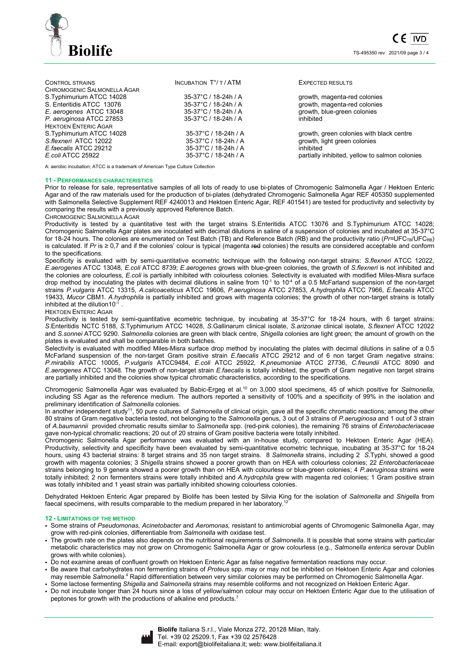

| <b>CONTROL STRAINS</b>      | <b>INCUBATION T°/T/ATM</b> | <b>EXPECTED RESULTS</b>                        |
|-----------------------------|----------------------------|------------------------------------------------|
| CHROMOGENIC SALMONELLA AGAR |                            |                                                |
| S.Typhimurium ATCC 14028    | 35-37°C / 18-24h / A       | growth, magenta-red colonies                   |
| S. Enteritidis ATCC 13076   | 35-37°C / 18-24h / A       | growth, magenta-red colonies                   |
| E. aerogenes ATCC 13048     | 35-37°C / 18-24h / A       | growth, blue-green colonies                    |
| P. aeruginosa ATCC 27853    | 35-37°C / 18-24h / A       | inhibited                                      |
| <b>HEKTOEN ENTERIC AGAR</b> |                            |                                                |
| S.Typhimurium ATCC 14028    | 35-37°C / 18-24h / A       | growth, green colonies with black centre       |
| S.flexneri ATCC 12022       | 35-37°C / 18-24h / A       | growth, light green colonies                   |
| E.faecalis ATCC 29212       | 35-37°C / 18-24h / A       | inhibited                                      |
| E.coli ATCC 25922           | 35-37°C / 18-24h / A       | partially inhibited, yellow to salmon colonies |
|                             |                            |                                                |

A: aerobic incubation; ATCC is a trademark of American Type Culture Collection

#### **11 - PERFORMANCES CHARACTERISTICS**

Prior to release for sale, representative samples of all lots of ready to use bi-plates of Chromogenic Salmonella Agar / Hektoen Enteric Agar and of the raw materials used for the production of bi-plates (dehydrated Chromogenic Salmonella Agar REF 405350 supplemented with Salmonella Selective Supplement REF 4240013 and Hektoen Enteric Agar, REF 401541) are tested for productivity and selectivity by comparing the results with a previously approved Reference Batch.

CHROMOGENIC SALMONELLA AGAR

Productivity is tested by a quantitative test with the target strains S.Enteritidis ATCC 13076 and S.Typhimurium ATCC 14028; Chromogenic Salmonella Agar plates are inoculated with decimal dilutions in saline of a suspension of colonies and incubated at 35-37°C for 18-24 hours. The colonies are enumerated on Test Batch (TB) and Reference Batch (RB) and the productivity ratio (Pr=UFC<sub>TB</sub>/UFC<sub>RB</sub>) is calculated. If *Pr* is ≥ 0,7 and if the colonies' colour is typical (magenta red colonies) the results are considered acceptable and conform to the specifications.

Specificity is evaluated with by semi-quantitative ecometric technique with the following non-target strains: *S.flexneri* ATCC 12022, *E.aerogenes* ATCC 13048, *E.coli* ATCC 8739; *E.aerogenes* grows with blue-green colonies, the growth of *S.flexneri* is not inhibited and the colonies are colourless, *E.coli* is partially inhibited with colourless colonies. Selectivity is evaluated with modified Miles-Misra surface drop method by inoculating the plates with decimal dilutions in saline from  $10^{-1}$  to  $10^{-4}$  of a 0.5 McFarland suspension of the non-target strains *P.vulgaris* ATCC 13315, *A.calcoaceticus* ATCC 19606*, P.aeruginosa* ATCC 27853, *A.hydrophila* ATCC 7966, *E.faecalis* ATCC 19433, *Mucor* CBM1. *A.hydrophila* is partially inhibited and grows with magenta colonies; the growth of other non-target strains is totally inhibited at the dilution10-1 .

#### HEKTOEN ENTERIC AGAR

Productivity is tested by semi-quantitative ecometric technique, by incubating at 35-37°C for 18-24 hours, with 6 target strains: *S*.Enteritidis NCTC 5188, *S*.Typhimurium ATCC 14028, *S*.Gallinarum clinical isolate, *S.arizonae* clinical isolate, *S.flexneri* ATCC 12022 and *S.sonnei* ATCC 9290. *Salmonella* colonies are green with black centre, *Shigella* colonies are light green; the amount of growth on the plates is evaluated and shall be comparable in both batches.

Selectivity is evaluated with modified Miles-Misra surface drop method by inoculating the plates with decimal dilutions in saline of a 0.5 McFarland suspension of the non-target Gram positive strain *E.faecalis* ATCC 29212 and of 6 non target Gram negative strains: *P.mirabilis* ATCC 10005, *P.vulgaris* ATCC9484, *E.coli* ATCC 25922*, K.pneumoniae* ATCC 27736, *C.freundii* ATCC 8090 and *E.aerogenes* ATCC 13048. The growth of non-target strain *E.faecalis* is totally inhibited, the growth of Gram negative non target strains are partially inhibited and the colonies show typical chromatic characteristics, according to the specifications.

Chromogenic Salmonella Agar was evaluated by Babic-Ergeg et al.<sup>10</sup> on 3,000 stool specimens, 45 of which positive for *Salmonella*, including SS Agar as the reference medium. The authors reported a sensitivity of 100% and a specificity of 99% in the isolation and preliminary identification of *Salmonella* colonies.

In another independent study<sup>11</sup>, 50 pure cultures of *Salmonella* of clinical origin, gave all the specific chromatic reactions; among the other 80 strains of Gram negative bacteria tested, not belonging to the *Salmonella* genus, 3 out of 3 strains of *P.aeruginosa* and 1 out of 3 strain of *A.baumannii* provided chromatic results similar to *Salmonella* spp. (red-pink colonies), the remaining 76 strains of *Enterobacteriaceae* gave non-typical chromatic reactions; 20 out of 20 strains of Gram positive bacteria were totally inhibited.

Chromogenic Salmonella Agar performance was evaluated with an in-house study, compared to Hektoen Enteric Agar (HEA). Productivity, selectivity and specificity have been evaluated by semi-quantitative ecometric technique, incubating at 35-37°C for 18-24 hours, using 43 bacterial strains: 8 target strains and 35 non target strains. 8 *Salmonella* strains, including 2 *S*.Typhi, showed a good growth with magenta colonies; 3 *Shigella* strains showed a poorer growth than on HEA with colourless colonies; 22 *Enterobacteriaceae* strains belonging to 9 genera showed a poorer growth than on HEA with colourless or blue-green colonies; 4 *P.aeruginosa* strains were totally inhibited; 2 non fermenters strains were totally inhibited and *A.hydrophila* grew with magenta red colonies; 1 Gram positive strain was totally inhibited and 1 yeast strain was partially inhibited showing colourless colonies.

Dehydrated Hektoen Enteric Agar prepared by Biolife has been tested by Silvia King for the isolation of *Salmonella* and *Shigella* from faecal specimens, with results comparable to the medium prepared in her laboratory.<sup>1</sup>

#### **12 - LIMITATIONS OF THE METHOD**

- Some strains of *Pseudomonas, Acinetobacter* and *Aeromonas,* resistant to antimicrobial agents of Chromogenic Salmonella Agar, may grow with red-pink colonies, differentiable from *Salmonella* with oxidase test.
- The growth rate on the plates also depends on the nutritional requirements of *Salmonella*. It is possible that some strains with particular metabolic characteristics may not grow on Chromogenic Salmonella Agar or grow colourless (e.g., *Salmonella enterica* serovar Dublin grows with white colonies).
- Do not examine areas of confluent growth on Hektoen Enteric Agar as false negative fermentation reactions may occur.
- Be aware that carbohydrates non fermenting strains of *Proteus* spp. may or may not be inhibited on Hektoen Enteric Agar and colonies may resemble Salmonella.<sup>4</sup> Rapid differentiation between very similar colonies may be performed on Chromogenic Salmonella Agar.
- Some lactose fermenting *Shigella* and *Salmonella* strains may resemble coliforms and not recognized on Hektoen Enteric Agar.
- Do not incubate longer than 24 hours since a loss of yellow/salmon colour may occur on Hektoen Enteric Agar due to the utilisation of peptones for growth with the productions of alkaline end products.<sup>7</sup>